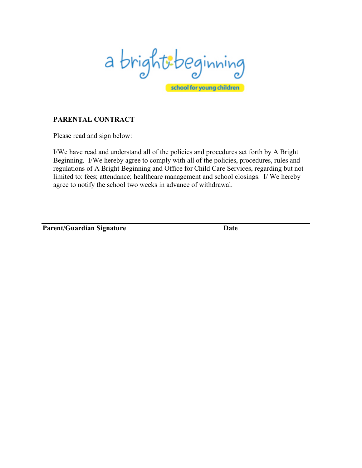

# **PARENTAL CONTRACT**

Please read and sign below:

I/We have read and understand all of the policies and procedures set forth by A Bright Beginning. I/We hereby agree to comply with all of the policies, procedures, rules and regulations of A Bright Beginning and Office for Child Care Services, regarding but not limited to: fees; attendance; healthcare management and school closings. I/ We hereby agree to notify the school two weeks in advance of withdrawal.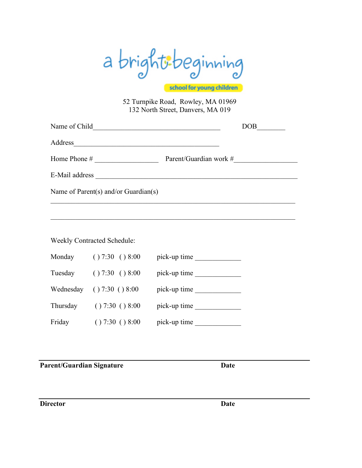

school for young children

52 Turnpike Road, Rowley, MA 01969 132 North Street, Danvers, MA 019

| Address and the contract of the contract of the contract of the contract of the contract of the contract of the contract of the contract of the contract of the contract of the contract of the contract of the contract of th |  |                                            |  |  |
|--------------------------------------------------------------------------------------------------------------------------------------------------------------------------------------------------------------------------------|--|--------------------------------------------|--|--|
|                                                                                                                                                                                                                                |  |                                            |  |  |
|                                                                                                                                                                                                                                |  |                                            |  |  |
| Name of Parent(s) and/or Guardian(s)                                                                                                                                                                                           |  |                                            |  |  |
|                                                                                                                                                                                                                                |  |                                            |  |  |
|                                                                                                                                                                                                                                |  |                                            |  |  |
| <b>Weekly Contracted Schedule:</b>                                                                                                                                                                                             |  |                                            |  |  |
|                                                                                                                                                                                                                                |  | Monday $( ) 7:30 ( ) 8:00$ pick-up time    |  |  |
|                                                                                                                                                                                                                                |  | Tuesday $( ) 7:30 ( ) 8:00$ pick-up time   |  |  |
|                                                                                                                                                                                                                                |  | Wednesday $( ) 7:30 ( ) 8:00$ pick-up time |  |  |
|                                                                                                                                                                                                                                |  | Thursday () 7:30 () 8:00 pick-up time      |  |  |

Friday  $( ) 7:30 ( ) 8:00$  pick-up time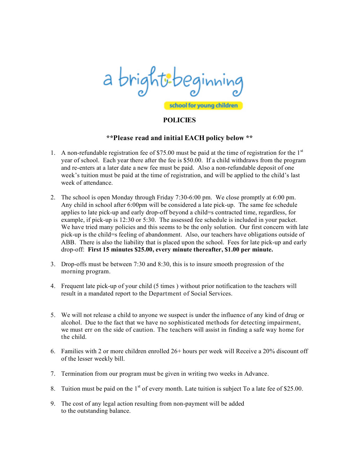

### **POLICIES**

#### **\*\*Please read and initial EACH policy below \*\***

- 1. A non-refundable registration fee of \$75.00 must be paid at the time of registration for the  $1<sup>st</sup>$ year of school. Each year there after the fee is \$50.00. If a child withdraws from the program and re-enters at a later date a new fee must be paid. Also a non-refundable deposit of one week's tuition must be paid at the time of registration, and will be applied to the child's last week of attendance.
- 2. The school is open Monday through Friday 7:30-6:00 pm. We close promptly at 6:00 pm. Any child in school after 6:00pm will be considered a late pick-up. The same fee schedule applies to late pick-up and early drop-off beyond a child=s contracted time, regardless, for example, if pick-up is 12:30 or 5:30. The assessed fee schedule is included in your packet. We have tried many policies and this seems to be the only solution. Our first concern with late pick-up is the child=s feeling of abandonment. Also, our teachers have obligations outside of ABB. There is also the liability that is placed upon the school. Fees for late pick-up and early drop-off: **First 15 minutes \$25.00, every minute thereafter, \$1.00 per minute.**
- 3. Drop-offs must be between 7:30 and 8:30, this is to insure smooth progression of the morning program.
- 4. Frequent late pick-up of your child (5 times ) without prior notification to the teachers will result in a mandated report to the Department of Social Services.
- 5. We will not release a child to anyone we suspect is under the influence of any kind of drug or alcohol. Due to the fact that we have no sophisticated methods for detecting impairment, we must err on the side of caution. The teachers will assist in finding a safe way home for the child.
- 6. Families with 2 or more children enrolled 26+ hours per week will Receive a 20% discount off of the lesser weekly bill.
- 7. Termination from our program must be given in writing two weeks in Advance.
- 8. Tuition must be paid on the  $1<sup>st</sup>$  of every month. Late tuition is subject To a late fee of \$25.00.
- 9. The cost of any legal action resulting from non-payment will be added to the outstanding balance.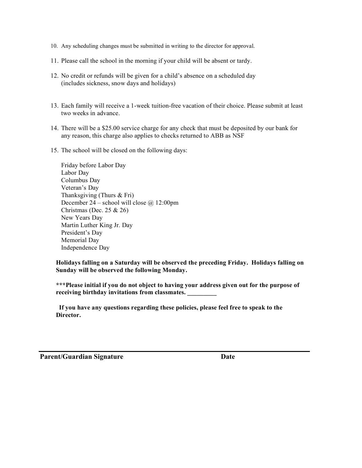- 10. Any scheduling changes must be submitted in writing to the director for approval.
- 11. Please call the school in the morning if your child will be absent or tardy.
- 12. No credit or refunds will be given for a child's absence on a scheduled day (includes sickness, snow days and holidays)
- 13. Each family will receive a 1-week tuition-free vacation of their choice. Please submit at least two weeks in advance.
- 14. There will be a \$25.00 service charge for any check that must be deposited by our bank for any reason, this charge also applies to checks returned to ABB as NSF
- 15. The school will be closed on the following days:

Friday before Labor Day Labor Day Columbus Day Veteran's Day Thanksgiving (Thurs & Fri) December 24 – school will close  $\omega$  12:00pm Christmas (Dec. 25 & 26) New Years Day Martin Luther King Jr. Day President's Day Memorial Day Independence Day

**Holidays falling on a Saturday will be observed the preceding Friday. Holidays falling on Sunday will be observed the following Monday.**

**\*\*\*Please initial if you do not object to having your address given out for the purpose of receiving birthday invitations from classmates. \_\_\_\_\_\_\_\_\_**

**If you have any questions regarding these policies, please feel free to speak to the Director.**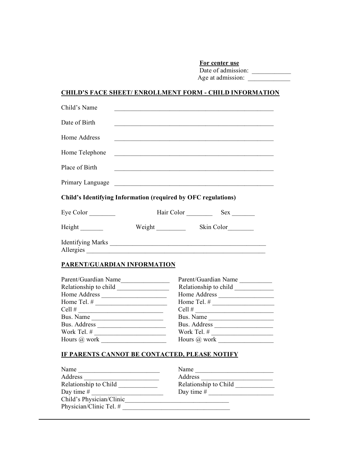**For center use**

Date of admission: Age at admission:

## **CHILD'S FACE SHEET/ ENROLLMENT FORM - CHILD INFORMATION**

| Child's Name                                                  | the control of the control of the control of the control of the control of the control of the control of the control of the control of the control of the control of the control of the control of the control of the control |                    |  |
|---------------------------------------------------------------|-------------------------------------------------------------------------------------------------------------------------------------------------------------------------------------------------------------------------------|--------------------|--|
| Date of Birth                                                 |                                                                                                                                                                                                                               |                    |  |
| Home Address                                                  | and the control of the control of the control of the control of the control of the control of the control of the                                                                                                              |                    |  |
| Home Telephone                                                |                                                                                                                                                                                                                               |                    |  |
| Place of Birth                                                |                                                                                                                                                                                                                               |                    |  |
|                                                               |                                                                                                                                                                                                                               |                    |  |
| Child's Identifying Information (required by OFC regulations) |                                                                                                                                                                                                                               |                    |  |
| Eye Color $\_\_$                                              | Hair Color _________                                                                                                                                                                                                          |                    |  |
|                                                               |                                                                                                                                                                                                                               | Skin Color________ |  |
|                                                               | Allergies                                                                                                                                                                                                                     |                    |  |
|                                                               |                                                                                                                                                                                                                               |                    |  |

### **PARENT/GUARDIAN INFORMATION**

| Parent/Guardian Name  | Parent/Guardian Name  |
|-----------------------|-----------------------|
| Relationship to child | Relationship to child |
| Home Address          | Home Address          |
| Home Tel. #           | Home Tel. #           |
| Cell#                 | Cell #                |
| Bus. Name             | Bus. Name             |
| Bus. Address          | Bus. Address          |
| Work Tel. #           | Work Tel. #           |
| Hours $(a)$ work      | Hours $(a)$ work      |
|                       |                       |

## **IF PARENTS CANNOT BE CONTACTED, PLEASE NOTIFY**

| Name                     | Name                  |
|--------------------------|-----------------------|
| Address                  | Address               |
| Relationship to Child    | Relationship to Child |
| Day time $#$             | Day time $#$          |
| Child's Physician/Clinic |                       |
| Physician/Clinic Tel. #  |                       |
|                          |                       |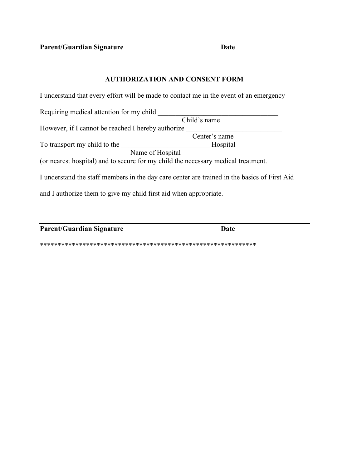**Parent/Guardian Signature Date**

## **AUTHORIZATION AND CONSENT FORM**

I understand that every effort will be made to contact me in the event of an emergency Requiring medical attention for my child Child's name However, if I cannot be reached I hereby authorize Center's name To transport my child to the \_\_\_\_\_\_\_\_\_\_\_\_\_\_\_\_\_\_\_\_\_\_\_\_\_ Hospital Name of Hospital (or nearest hospital) and to secure for my child the necessary medical treatment. I understand the staff members in the day care center are trained in the basics of First Aid and I authorize them to give my child first aid when appropriate.

**Parent/Guardian Signature Date**

\*\*\*\*\*\*\*\*\*\*\*\*\*\*\*\*\*\*\*\*\*\*\*\*\*\*\*\*\*\*\*\*\*\*\*\*\*\*\*\*\*\*\*\*\*\*\*\*\*\*\*\*\*\*\*\*\*\*\*\*\*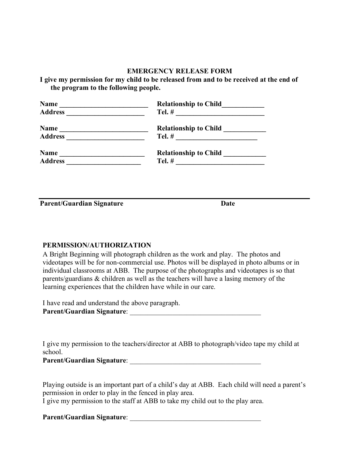### **EMERGENCY RELEASE FORM**

**I give my permission for my child to be released from and to be received at the end of the program to the following people.**

| <b>Name</b>    | <b>Relationship to Child</b> |
|----------------|------------------------------|
|                |                              |
| Name           | <b>Relationship to Child</b> |
| <b>Address</b> |                              |
| <b>Name</b>    | <b>Relationship to Child</b> |
| <b>Address</b> |                              |
|                |                              |

**Parent/Guardian Signature Date**

#### **PERMISSION/AUTHORIZATION**

A Bright Beginning will photograph children as the work and play. The photos and videotapes will be for non-commercial use. Photos will be displayed in photo albums or in individual classrooms at ABB. The purpose of the photographs and videotapes is so that parents/guardians & children as well as the teachers will have a lasing memory of the learning experiences that the children have while in our care.

| I have read and understand the above paragraph. |  |
|-------------------------------------------------|--|
| <b>Parent/Guardian Signature:</b>               |  |

I give my permission to the teachers/director at ABB to photograph/video tape my child at school.

Playing outside is an important part of a child's day at ABB. Each child will need a parent's permission in order to play in the fenced in play area.

I give my permission to the staff at ABB to take my child out to the play area.

## **Parent/Guardian Signature**: \_\_\_\_\_\_\_\_\_\_\_\_\_\_\_\_\_\_\_\_\_\_\_\_\_\_\_\_\_\_\_\_\_\_\_\_\_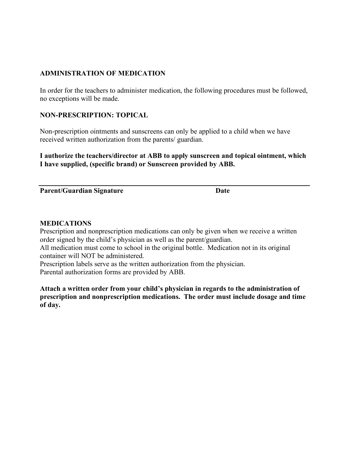## **ADMINISTRATION OF MEDICATION**

In order for the teachers to administer medication, the following procedures must be followed, no exceptions will be made.

### **NON-PRESCRIPTION: TOPICAL**

Non-prescription ointments and sunscreens can only be applied to a child when we have received written authorization from the parents/ guardian.

**I authorize the teachers/director at ABB to apply sunscreen and topical ointment, which I have supplied, (specific brand) or Sunscreen provided by ABB.**

**Parent/Guardian Signature Date**

### **MEDICATIONS**

Prescription and nonprescription medications can only be given when we receive a written order signed by the child's physician as well as the parent/guardian.

All medication must come to school in the original bottle. Medication not in its original container will NOT be administered.

Prescription labels serve as the written authorization from the physician. Parental authorization forms are provided by ABB.

**Attach a written order from your child's physician in regards to the administration of prescription and nonprescription medications. The order must include dosage and time of day.**